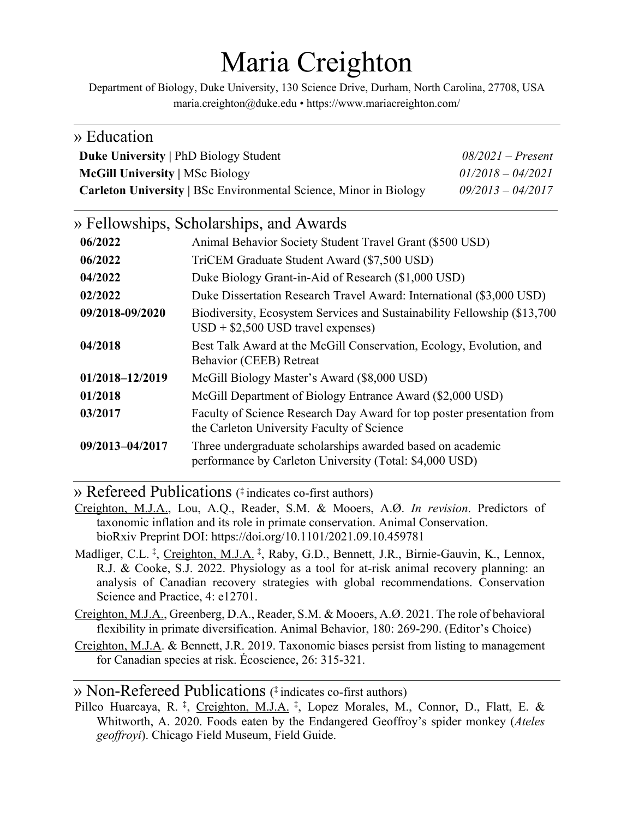# Maria Creighton

Department of Biology, Duke University, 130 Science Drive, Durham, North Carolina, 27708, USA maria.creighton@duke.edu • https://www.mariacreighton.com/

| » Education                                                                            |                                                                                                                       |                                            |
|----------------------------------------------------------------------------------------|-----------------------------------------------------------------------------------------------------------------------|--------------------------------------------|
| <b>Duke University   PhD Biology Student</b><br><b>McGill University   MSc Biology</b> |                                                                                                                       | $08/2021$ – Present<br>$01/2018 - 04/2021$ |
|                                                                                        |                                                                                                                       |                                            |
|                                                                                        | » Fellowships, Scholarships, and Awards                                                                               |                                            |
| 06/2022                                                                                | Animal Behavior Society Student Travel Grant (\$500 USD)                                                              |                                            |
| 06/2022                                                                                | TriCEM Graduate Student Award (\$7,500 USD)                                                                           |                                            |
| 04/2022                                                                                | Duke Biology Grant-in-Aid of Research (\$1,000 USD)                                                                   |                                            |
| 02/2022                                                                                | Duke Dissertation Research Travel Award: International (\$3,000 USD)                                                  |                                            |
| 09/2018-09/2020                                                                        | Biodiversity, Ecosystem Services and Sustainability Fellowship (\$13,700<br>$USD + $2,500$ USD travel expenses)       |                                            |
| 04/2018                                                                                | Best Talk Award at the McGill Conservation, Ecology, Evolution, and<br>Behavior (CEEB) Retreat                        |                                            |
| 01/2018-12/2019                                                                        | McGill Biology Master's Award (\$8,000 USD)                                                                           |                                            |
| 01/2018                                                                                | McGill Department of Biology Entrance Award (\$2,000 USD)                                                             |                                            |
| 03/2017                                                                                | Faculty of Science Research Day Award for top poster presentation from<br>the Carleton University Faculty of Science  |                                            |
| 09/2013-04/2017                                                                        | Three undergraduate scholarships awarded based on academic<br>performance by Carleton University (Total: \$4,000 USD) |                                            |

» Refereed Publications ( **‡** indicates co-first authors)

- Creighton, M.J.A., Lou, A.Q., Reader, S.M. & Mooers, A.Ø. *In revision*. Predictors of taxonomic inflation and its role in primate conservation. Animal Conservation. bioRxiv Preprint DOI: https://doi.org/10.1101/2021.09.10.459781
- Madliger, C.L.<sup>‡</sup>, Creighton, M.J.A.<sup>‡</sup>, Raby, G.D., Bennett, J.R., Birnie-Gauvin, K., Lennox, R.J. & Cooke, S.J. 2022. Physiology as a tool for at-risk animal recovery planning: an analysis of Canadian recovery strategies with global recommendations. Conservation Science and Practice, 4: e12701.
- Creighton, M.J.A., Greenberg, D.A., Reader, S.M. & Mooers, A.Ø. 2021. The role of behavioral flexibility in primate diversification. Animal Behavior, 180: 269-290. (Editor's Choice)
- Creighton, M.J.A. & Bennett, J.R. 2019. Taxonomic biases persist from listing to management for Canadian species at risk. Écoscience, 26: 315-321.

#### » Non-Refereed Publications ( **‡** indicates co-first authors)

Pillco Huarcaya, R.<sup>‡</sup>, Creighton, M.J.A.<sup>‡</sup>, Lopez Morales, M., Connor, D., Flatt, E. & Whitworth, A. 2020. Foods eaten by the Endangered Geoffroy's spider monkey (*Ateles geoffroyi*). Chicago Field Museum, Field Guide.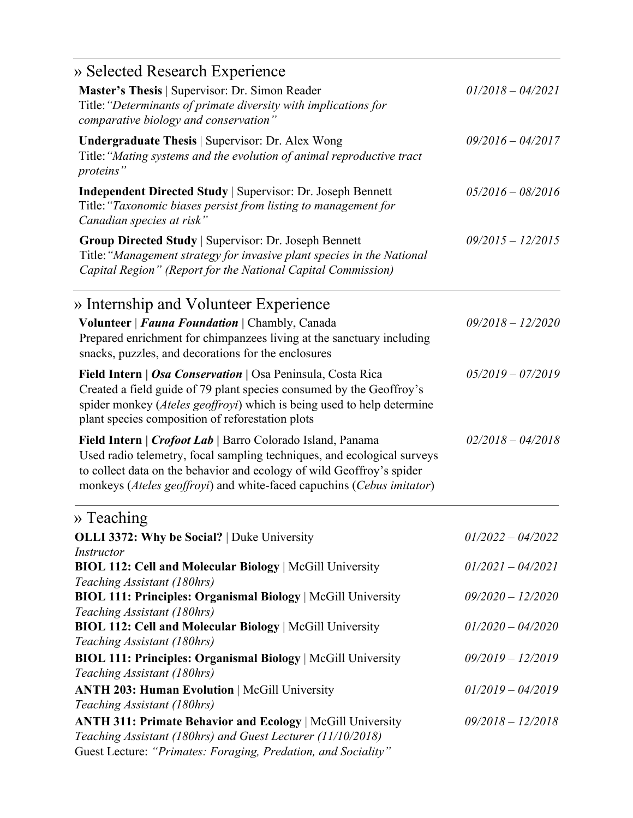| » Selected Research Experience                                                                                                                                                                                                                                                          |                                            |  |
|-----------------------------------------------------------------------------------------------------------------------------------------------------------------------------------------------------------------------------------------------------------------------------------------|--------------------------------------------|--|
| Master's Thesis   Supervisor: Dr. Simon Reader<br>Title: "Determinants of primate diversity with implications for<br>comparative biology and conservation"                                                                                                                              | $01/2018 - 04/2021$                        |  |
| <b>Undergraduate Thesis</b>   Supervisor: Dr. Alex Wong<br>Title: "Mating systems and the evolution of animal reproductive tract<br>proteins"                                                                                                                                           | $09/2016 - 04/2017$<br>$05/2016 - 08/2016$ |  |
| <b>Independent Directed Study   Supervisor: Dr. Joseph Bennett</b><br>Title: "Taxonomic biases persist from listing to management for<br>Canadian species at risk"                                                                                                                      |                                            |  |
| <b>Group Directed Study   Supervisor: Dr. Joseph Bennett</b><br>Title: "Management strategy for invasive plant species in the National<br>Capital Region" (Report for the National Capital Commission)                                                                                  | $09/2015 - 12/2015$                        |  |
| » Internship and Volunteer Experience                                                                                                                                                                                                                                                   |                                            |  |
| Volunteer   Fauna Foundation   Chambly, Canada<br>Prepared enrichment for chimpanzees living at the sanctuary including<br>snacks, puzzles, and decorations for the enclosures                                                                                                          | $09/2018 - 12/2020$                        |  |
| Field Intern   Osa Conservation   Osa Peninsula, Costa Rica<br>Created a field guide of 79 plant species consumed by the Geoffroy's<br>spider monkey (Ateles geoffroyi) which is being used to help determine<br>plant species composition of reforestation plots                       | $05/2019 - 07/2019$                        |  |
| Field Intern   Crofoot Lab   Barro Colorado Island, Panama<br>Used radio telemetry, focal sampling techniques, and ecological surveys<br>to collect data on the behavior and ecology of wild Geoffroy's spider<br>monkeys (Ateles geoffroyi) and white-faced capuchins (Cebus imitator) | $02/2018 - 04/2018$                        |  |
| $\rightarrow$ Teaching                                                                                                                                                                                                                                                                  |                                            |  |
| OLLI 3372: Why be Social?   Duke University<br><i>Instructor</i>                                                                                                                                                                                                                        | $01/2022 - 04/2022$                        |  |
| <b>BIOL 112: Cell and Molecular Biology   McGill University</b><br>Teaching Assistant (180hrs)                                                                                                                                                                                          | $01/2021 - 04/2021$                        |  |
| BIOL 111: Principles: Organismal Biology   McGill University<br>Teaching Assistant (180hrs)                                                                                                                                                                                             | $09/2020 - 12/2020$                        |  |
| BIOL 112: Cell and Molecular Biology   McGill University<br>Teaching Assistant (180hrs)                                                                                                                                                                                                 | $01/2020 - 04/2020$                        |  |
| BIOL 111: Principles: Organismal Biology   McGill University<br>Teaching Assistant (180hrs)                                                                                                                                                                                             | $09/2019 - 12/2019$                        |  |
| <b>ANTH 203: Human Evolution   McGill University</b>                                                                                                                                                                                                                                    | $01/2019 - 04/2019$                        |  |
| Teaching Assistant (180hrs)<br><b>ANTH 311: Primate Behavior and Ecology   McGill University</b><br>Teaching Assistant (180hrs) and Guest Lecturer (11/10/2018)<br>Guest Lecture: "Primates: Foraging, Predation, and Sociality"                                                        | $09/2018 - 12/2018$                        |  |
|                                                                                                                                                                                                                                                                                         |                                            |  |